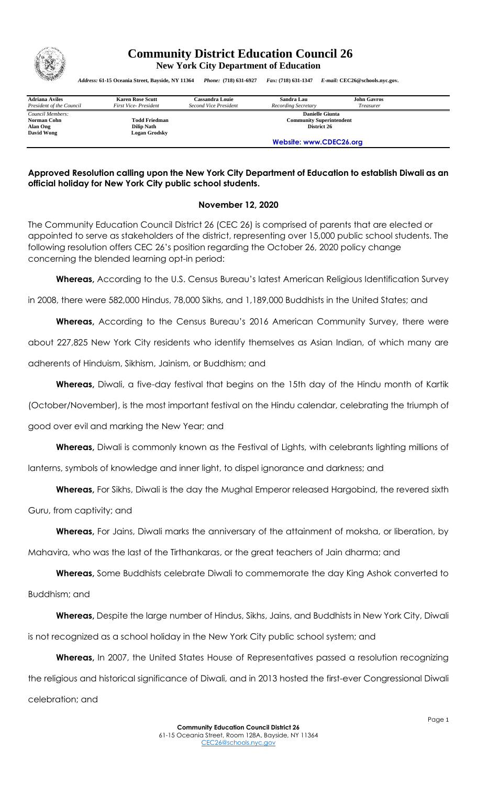

## **Community District Education Council 26 New York City Department of Education**

*Address:* **61-15 Oceania Street, Bayside, NY 11364** *Phone:* **(718) 631-6927** *Fax:* **(718) 631-1347** *E-mail:* **CEC26@schools.nyc.gov.**

| <b>Adriana Aviles</b><br>President of the Council         | <b>Karen Rose Scutt</b><br>First Vice-President                   | Cassandra Louie<br>Second Vice President                                 | Sandra Lau<br>Recording Secretary | <b>John Gavros</b><br><i>Treasurer</i> |  |
|-----------------------------------------------------------|-------------------------------------------------------------------|--------------------------------------------------------------------------|-----------------------------------|----------------------------------------|--|
| Council Members:<br>Norman Cohn<br>Alan Ong<br>David Wong | <b>Todd Friedman</b><br><b>Dilip Nath</b><br><b>Logan Grodsky</b> | <b>Danielle Giunta</b><br><b>Community Superintendent</b><br>District 26 |                                   |                                        |  |
|                                                           |                                                                   | Website: www.CDEC26.org                                                  |                                   |                                        |  |

## **Approved Resolution calling upon the New York City Department of Education to establish Diwali as an official holiday for New York City public school students.**

## **November 12, 2020**

The Community Education Council District 26 (CEC 26) is comprised of parents that are elected or appointed to serve as stakeholders of the district, representing over 15,000 public school students. The following resolution offers CEC 26's position regarding the October 26, 2020 policy change concerning the blended learning opt-in period:

**Whereas,** According to the U.S. Census Bureau's latest American Religious Identification Survey

in 2008, there were 582,000 Hindus, 78,000 Sikhs, and 1,189,000 Buddhists in the United States; and

**Whereas,** According to the Census Bureau's 2016 American Community Survey, there were

about 227,825 New York City residents who identify themselves as Asian Indian, of which many are

adherents of Hinduism, Sikhism, Jainism, or Buddhism; and

**Whereas,** Diwali, a five-day festival that begins on the 15th day of the Hindu month of Kartik

(October/November), is the most important festival on the Hindu calendar, celebrating the triumph of

good over evil and marking the New Year; and

**Whereas,** Diwali is commonly known as the Festival of Lights, with celebrants lighting millions of

lanterns, symbols of knowledge and inner light, to dispel ignorance and darkness; and

**Whereas,** For Sikhs, Diwali is the day the Mughal Emperor released Hargobind, the revered sixth

Guru, from captivity; and

**Whereas,** For Jains, Diwali marks the anniversary of the attainment of moksha, or liberation, by

Mahavira, who was the last of the Tirthankaras, or the great teachers of Jain dharma; and

**Whereas,** Some Buddhists celebrate Diwali to commemorate the day King Ashok converted to Buddhism; and

**Whereas,** Despite the large number of Hindus, Sikhs, Jains, and Buddhists in New York City, Diwali is not recognized as a school holiday in the New York City public school system; and

**Whereas,** In 2007, the United States House of Representatives passed a resolution recognizing the religious and historical significance of Diwali, and in 2013 hosted the first-ever Congressional Diwali celebration; and